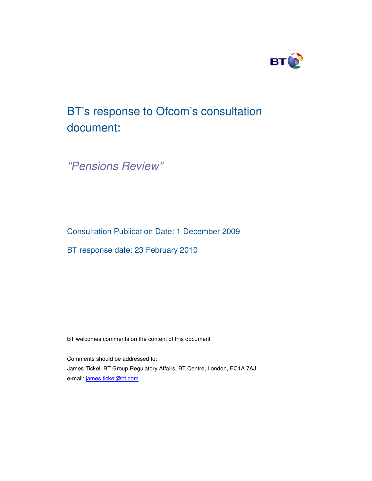

# BT's response to Ofcom's consultation document:

*"Pensions Review"*

Consultation Publication Date: 1 December 2009

BT response date: 23 February 2010

BT welcomes comments on the content of this document

Comments should be addressed to: James Tickel, BT Group Regulatory Affairs, BT Centre, London, EC1A 7AJ e-mail: james.tickel@bt.com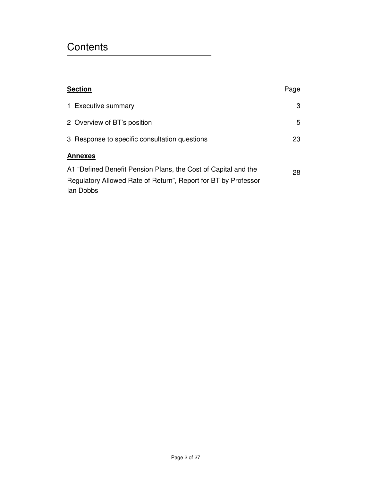## **Contents**

|                | <b>Section</b>                                                                                                                                | Page |
|----------------|-----------------------------------------------------------------------------------------------------------------------------------------------|------|
|                | 1 Executive summary                                                                                                                           | 3    |
|                | 2 Overview of BT's position                                                                                                                   | 5    |
|                | 3 Response to specific consultation questions                                                                                                 | 23   |
| <b>Annexes</b> |                                                                                                                                               |      |
|                | A1 "Defined Benefit Pension Plans, the Cost of Capital and the<br>Regulatory Allowed Rate of Return", Report for BT by Professor<br>lan Dobbs | 28   |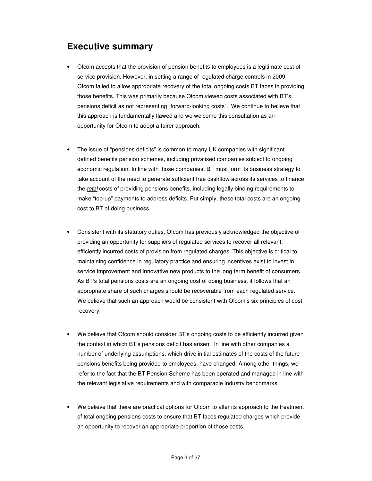## **Executive summary**

- Ofcom accepts that the provision of pension benefits to employees is a legitimate cost of service provision. However, in setting a range of regulated charge controls in 2009, Ofcom failed to allow appropriate recovery of the total ongoing costs BT faces in providing those benefits. This was primarily because Ofcom viewed costs associated with BT's pensions deficit as not representing "forward-looking costs". We continue to believe that this approach is fundamentally flawed and we welcome this consultation as an opportunity for Ofcom to adopt a fairer approach.
- The issue of "pensions deficits" is common to many UK companies with significant defined benefits pension schemes, including privatised companies subject to ongoing economic regulation. In line with those companies, BT must form its business strategy to take account of the need to generate sufficient free cashflow across its services to finance the *total* costs of providing pensions benefits, including legally binding requirements to make "top-up" payments to address deficits. Put simply, these total costs are an ongoing cost to BT of doing business.
- Consistent with its statutory duties, Ofcom has previously acknowledged the objective of providing an opportunity for suppliers of regulated services to recover all relevant, efficiently incurred costs of provision from regulated charges. This objective is critical to maintaining confidence in regulatory practice and ensuring incentives exist to invest in service improvement and innovative new products to the long term benefit of consumers. As BT's total pensions costs are an ongoing cost of doing business, it follows that an appropriate share of such charges should be recoverable from each regulated service. We believe that such an approach would be consistent with Ofcom's six principles of cost recovery.
- We believe that Ofcom should consider BT's ongoing costs to be efficiently incurred given the context in which BT's pensions deficit has arisen. In line with other companies a number of underlying assumptions, which drive initial estimates of the costs of the future pensions benefits being provided to employees, have changed. Among other things, we refer to the fact that the BT Pension Scheme has been operated and managed in line with the relevant legislative requirements and with comparable industry benchmarks.
- We believe that there are practical options for Ofcom to alter its approach to the treatment of total ongoing pensions costs to ensure that BT faces regulated charges which provide an opportunity to recover an appropriate proportion of those costs.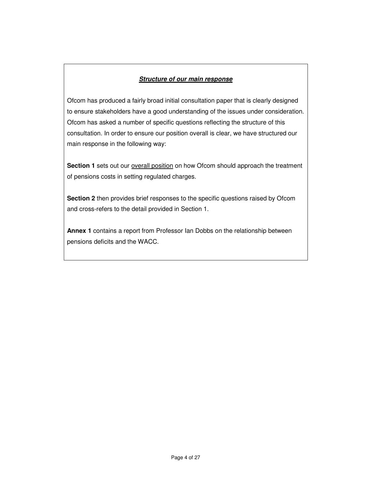### *Structure of our main response*

Ofcom has produced a fairly broad initial consultation paper that is clearly designed to ensure stakeholders have a good understanding of the issues under consideration. Ofcom has asked a number of specific questions reflecting the structure of this consultation. In order to ensure our position overall is clear, we have structured our main response in the following way:

**Section 1** sets out our **overall position** on how Ofcom should approach the treatment of pensions costs in setting regulated charges.

**Section 2** then provides brief responses to the specific questions raised by Ofcom and cross-refers to the detail provided in Section 1.

**Annex 1** contains a report from Professor Ian Dobbs on the relationship between pensions deficits and the WACC.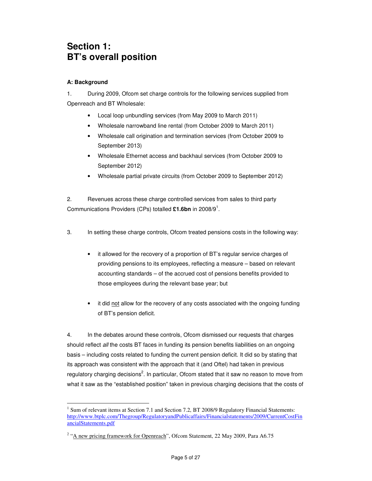## **Section 1: BT's overall position**

### **A: Background**

1. During 2009, Ofcom set charge controls for the following services supplied from Openreach and BT Wholesale:

- Local loop unbundling services (from May 2009 to March 2011)
- Wholesale narrowband line rental (from October 2009 to March 2011)
- Wholesale call origination and termination services (from October 2009 to September 2013)
- Wholesale Ethernet access and backhaul services (from October 2009 to September 2012)
- Wholesale partial private circuits (from October 2009 to September 2012)

2. Revenues across these charge controlled services from sales to third party Communications Providers (CPs) totalled **£1.6bn** in 2008/9 1 .

- 3. In setting these charge controls, Ofcom treated pensions costs in the following way:
	- it allowed for the recovery of a proportion of BT's regular service charges of providing pensions to its employees, reflecting a measure – based on relevant accounting standards – of the accrued cost of pensions benefits provided to those employees during the relevant base year; but
	- it did not allow for the recovery of any costs associated with the ongoing funding of BT's pension deficit.

4. In the debates around these controls, Ofcom dismissed our requests that charges should reflect *all* the costs BT faces in funding its pension benefits liabilities on an ongoing basis – including costs related to funding the current pension deficit. It did so by stating that its approach was consistent with the approach that it (and Oftel) had taken in previous regulatory charging decisions<sup>2</sup>. In particular, Ofcom stated that it saw no reason to move from what it saw as the "established position" taken in previous charging decisions that the costs of

<sup>&</sup>lt;sup>1</sup> Sum of relevant items at Section 7.1 and Section 7.2, BT 2008/9 Regulatory Financial Statements: http://www.btplc.com/Thegroup/RegulatoryandPublicaffairs/Financialstatements/2009/CurrentCostFin ancialStatements.pdf

<sup>&</sup>lt;sup>2</sup> "A new pricing framework for Openreach", Ofcom Statement, 22 May 2009, Para A6.75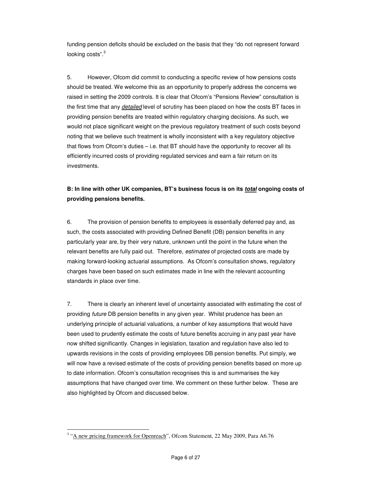funding pension deficits should be excluded on the basis that they "do not represent forward looking costs".<sup>3</sup>

5. However, Ofcom did commit to conducting a specific review of how pensions costs should be treated. We welcome this as an opportunity to properly address the concerns we raised in setting the 2009 controls. It is clear that Ofcom's "Pensions Review" consultation is the first time that any *detailed* level of scrutiny has been placed on how the costs BT faces in providing pension benefits are treated within regulatory charging decisions. As such, we would not place significant weight on the previous regulatory treatment of such costs beyond noting that we believe such treatment is wholly inconsistent with a key regulatory objective that flows from Ofcom's duties – i.e. that BT should have the opportunity to recover all its efficiently incurred costs of providing regulated services and earn a fair return on its investments.

## **B: In line with other UK companies, BT's business focus is on its** *total* **ongoing costs of providing pensions benefits.**

6. The provision of pension benefits to employees is essentially deferred pay and, as such, the costs associated with providing Defined Benefit (DB) pension benefits in any particularly year are, by their very nature, unknown until the point in the future when the relevant benefits are fully paid out. Therefore, *estimates* of projected costs are made by making forward-looking actuarial assumptions. As Ofcom's consultation shows, regulatory charges have been based on such estimates made in line with the relevant accounting standards in place over time.

7. There is clearly an inherent level of uncertainty associated with estimating the cost of providing *future* DB pension benefits in any given year. Whilst prudence has been an underlying principle of actuarial valuations, a number of key assumptions that would have been used to prudently estimate the costs of future benefits accruing in any past year have now shifted significantly. Changes in legislation, taxation and regulation have also led to upwards revisions in the costs of providing employees DB pension benefits. Put simply, we will now have a revised estimate of the costs of providing pension benefits based on more up to date information. Ofcom's consultation recognises this is and summarises the key assumptions that have changed over time. We comment on these further below. These are also highlighted by Ofcom and discussed below.

<sup>&</sup>lt;sup>3</sup> "A new pricing framework for Openreach", Ofcom Statement, 22 May 2009, Para A6.76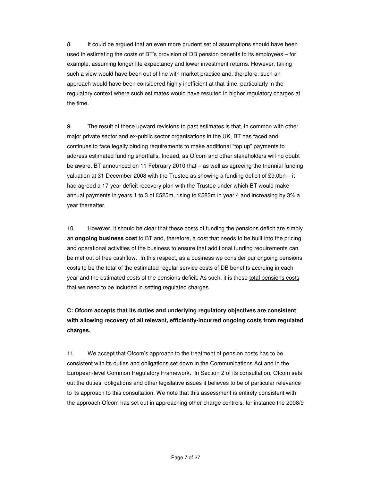8. It could be argued that an even more prudent set of assumptions should have been used in estimating the costs of BT's provision of DB pension benefits to its employees – for example, assuming longer life expectancy and lower investment returns. However, taking such a view would have been out of line with market practice and, therefore, such an approach would have been considered highly inefficient at that time, particularly in the regulatory context where such estimates would have resulted in higher regulatory charges at the time.

9. The result of these upward revisions to past estimates is that, in common with other major private sector and ex-public sector organisations in the UK, BT has faced and continues to face legally binding requirements to make additional "top up" payments to address estimated funding shortfalls. Indeed, as Ofcom and other stakeholders will no doubt be aware, BT announced on 11 February 2010 that – as well as agreeing the triennial funding valuation at 31 December 2008 with the Trustee as showing a funding deficit of £9.0bn – it had agreed a 17 year deficit recovery plan with the Trustee under which BT would make annual payments in years 1 to 3 of £525m, rising to £583m in year 4 and increasing by 3% a year thereafter.

10. However, it should be clear that these costs of funding the pensions deficit are simply an **ongoing business cost** to BT and, therefore, a cost that needs to be built into the pricing and operational activities of the business to ensure that additional funding requirements can be met out of free cashflow. In this respect, as a business we consider our ongoing pensions costs to be the total of the estimated regular service costs of DB benefits accruing in each year and the estimated costs of the pensions deficit. As such, it is these total pensions costs that we need to be included in setting regulated charges.

**C: Ofcom accepts that its duties and underlying regulatory objectives are consistent with allowing recovery of all relevant, efficiently-incurred ongoing costs from regulated charges.**

11. We accept that Ofcom's approach to the treatment of pension costs has to be consistent with its duties and obligations set down in the Communications Act and in the European-level Common Regulatory Framework. In Section 2 of its consultation, Ofcom sets out the duties, obligations and other legislative issues it believes to be of particular relevance to its approach to this consultation. We note that this assessment is entirely consistent with the approach Ofcom has set out in approaching other charge controls, for instance the 2008/9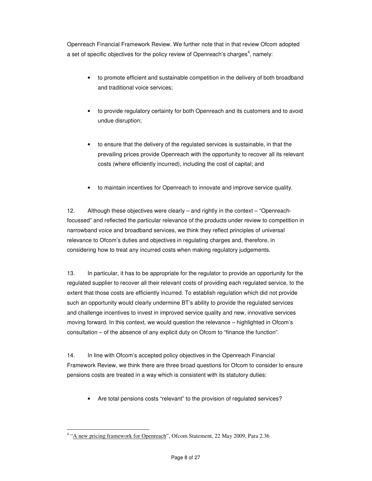Openreach Financial Framework Review. We further note that in that review Ofcom adopted a set of specific objectives for the policy review of Openreach's charges<sup>4</sup>, namely:

- to promote efficient and sustainable competition in the delivery of both broadband and traditional voice services;
- to provide regulatory certainty for both Openreach and its customers and to avoid undue disruption;
- to ensure that the delivery of the regulated services is sustainable, in that the prevailing prices provide Openreach with the opportunity to recover all its relevant costs (where efficiently incurred), including the cost of capital; and
- to maintain incentives for Openreach to innovate and improve service quality.

12. Although these objectives were clearly – and rightly in the context – "Openreachfocussed" and reflected the particular relevance of the products under review to competition in narrowband voice and broadband services, we think they reflect principles of universal relevance to Ofcom's duties and objectives in regulating charges and, therefore, in considering how to treat any incurred costs when making regulatory judgements.

13. In particular, it has to be appropriate for the regulator to provide an opportunity for the regulated supplier to recover all their relevant costs of providing each regulated service, to the extent that those costs are efficiently incurred. To establish regulation which did not provide such an opportunity would clearly undermine BT's ability to provide the regulated services and challenge incentives to invest in improved service quality and new, innovative services moving forward. In this context, we would question the relevance – highlighted in Ofcom's consultation – of the absence of any explicit duty on Ofcom to "finance the function".

14. In line with Ofcom's accepted policy objectives in the Openreach Financial Framework Review, we think there are three broad questions for Ofcom to consider to ensure pensions costs are treated in a way which is consistent with its statutory duties:

• Are total pensions costs "relevant" to the provision of regulated services?

<sup>&</sup>lt;sup>4</sup> "A new pricing framework for Openreach", Ofcom Statement, 22 May 2009, Para 2.36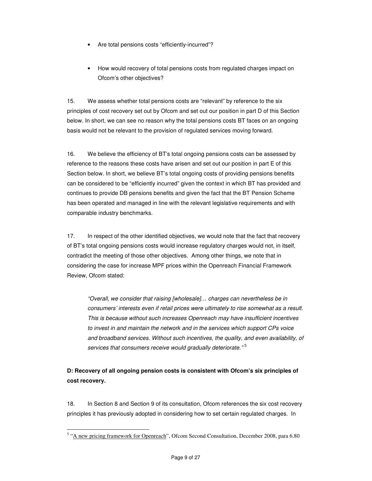- Are total pensions costs "efficiently-incurred"?
- How would recovery of total pensions costs from regulated charges impact on Ofcom's other objectives?

15. We assess whether total pensions costs are "relevant" by reference to the six principles of cost recovery set out by Ofcom and set out our position in part D of this Section below. In short, we can see no reason why the total pensions costs BT faces on an ongoing basis would not be relevant to the provision of regulated services moving forward.

16. We believe the efficiency of BT's total ongoing pensions costs can be assessed by reference to the reasons these costs have arisen and set out our position in part E of this Section below. In short, we believe BT's total ongoing costs of providing pensions benefits can be considered to be "efficiently incurred" given the context in which BT has provided and continues to provide DB pensions benefits and given the fact that the BT Pension Scheme has been operated and managed in line with the relevant legislative requirements and with comparable industry benchmarks.

17. In respect of the other identified objectives, we would note that the fact that recovery of BT's total ongoing pensions costs would increase regulatory charges would not, in itself, contradict the meeting of those other objectives. Among other things, we note that in considering the case for increase MPF prices within the Openreach Financial Framework Review, Ofcom stated:

*"Overall, we consider that raising [wholesale]… charges can nevertheless be in consumers' interests even if retail prices were ultimately to rise somewhat as a result. This is because without such increases Openreach may have insufficient incentives to invest in and maintain the network and in the services which support CPs voice and broadband services. Without such incentives, the quality, and even availability, of services that consumers receive would gradually deteriorate."* 5

## **D: Recovery of all ongoing pension costs is consistent with Ofcom's six principles of cost recovery.**

18. In Section 8 and Section 9 of its consultation, Ofcom references the six cost recovery principles it has previously adopted in considering how to set certain regulated charges. In

<sup>&</sup>lt;sup>5</sup> "A new pricing framework for Openreach", Ofcom Second Consultation, December 2008, para 6.80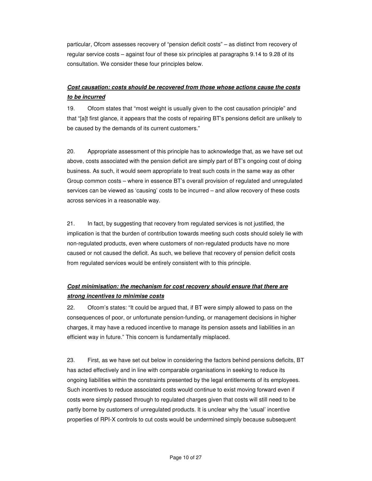particular, Ofcom assesses recovery of "pension deficit costs" – as distinct from recovery of regular service costs – against four of these six principles at paragraphs 9.14 to 9.28 of its consultation. We consider these four principles below.

## *Cost causation: costs should be recovered from those whose actions cause the costs to be incurred*

19. Ofcom states that "most weight is usually given to the cost causation principle" and that "[a]t first glance, it appears that the costs of repairing BT's pensions deficit are unlikely to be caused by the demands of its current customers."

20. Appropriate assessment of this principle has to acknowledge that, as we have set out above, costs associated with the pension deficit are simply part of BT's ongoing cost of doing business. As such, it would seem appropriate to treat such costs in the same way as other Group common costs – where in essence BT's overall provision of regulated and unregulated services can be viewed as 'causing' costs to be incurred – and allow recovery of these costs across services in a reasonable way.

21. In fact, by suggesting that recovery from regulated services is not justified, the implication is that the burden of contribution towards meeting such costs should solely lie with non-regulated products, even where customers of non-regulated products have no more caused or not caused the deficit. As such, we believe that recovery of pension deficit costs from regulated services would be entirely consistent with to this principle.

## *Cost minimisation: the mechanism for cost recovery should ensure that there are strong incentives to minimise costs*

22. Ofcom's states: "It could be argued that, if BT were simply allowed to pass on the consequences of poor, or unfortunate pension-funding, or management decisions in higher charges, it may have a reduced incentive to manage its pension assets and liabilities in an efficient way in future." This concern is fundamentally misplaced.

23. First, as we have set out below in considering the factors behind pensions deficits, BT has acted effectively and in line with comparable organisations in seeking to reduce its ongoing liabilities within the constraints presented by the legal entitlements of its employees. Such incentives to reduce associated costs would continue to exist moving forward even if costs were simply passed through to regulated charges given that costs will still need to be partly borne by customers of unregulated products. It is unclear why the 'usual' incentive properties of RPI-X controls to cut costs would be undermined simply because subsequent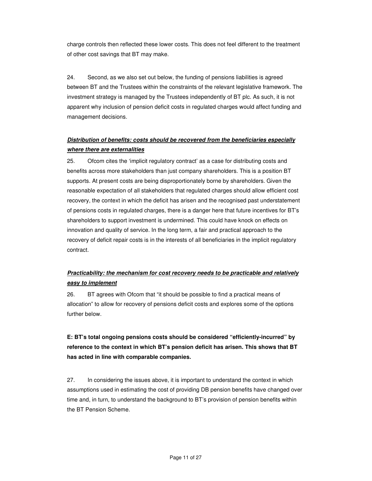charge controls then reflected these lower costs. This does not feel different to the treatment of other cost savings that BT may make.

24. Second, as we also set out below, the funding of pensions liabilities is agreed between BT and the Trustees within the constraints of the relevant legislative framework. The investment strategy is managed by the Trustees independently of BT plc. As such, it is not apparent why inclusion of pension deficit costs in regulated charges would affect funding and management decisions.

## *Distribution of benefits: costs should be recovered from the beneficiaries especially where there are externalities*

25. Ofcom cites the 'implicit regulatory contract' as a case for distributing costs and benefits across more stakeholders than just company shareholders. This is a position BT supports. At present costs are being disproportionately borne by shareholders. Given the reasonable expectation of all stakeholders that regulated charges should allow efficient cost recovery, the context in which the deficit has arisen and the recognised past understatement of pensions costs in regulated charges, there is a danger here that future incentives for BT's shareholders to support investment is undermined. This could have knock on effects on innovation and quality of service. In the long term, a fair and practical approach to the recovery of deficit repair costs is in the interests of all beneficiaries in the implicit regulatory contract.

## *Practicability: the mechanism for cost recovery needs to be practicable and relatively easy to implement*

26. BT agrees with Ofcom that "it should be possible to find a practical means of allocation" to allow for recovery of pensions deficit costs and explores some of the options further below.

## **E: BT's total ongoing pensions costs should be considered "efficiently-incurred" by reference to the context in which BT's pension deficit has arisen. This shows that BT has acted in line with comparable companies.**

27. In considering the issues above, it is important to understand the context in which assumptions used in estimating the cost of providing DB pension benefits have changed over time and, in turn, to understand the background to BT's provision of pension benefits within the BT Pension Scheme.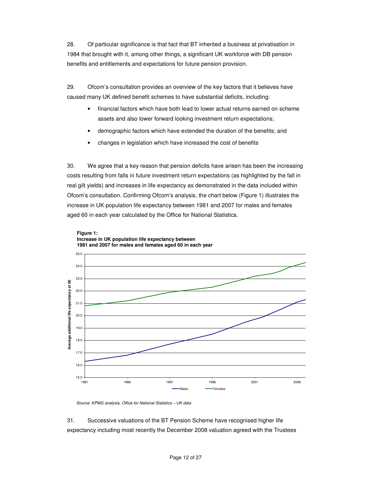28. Of particular significance is that fact that BT inherited a business at privatisation in 1984 that brought with it, among other things, a significant UK workforce with DB pension benefits and entitlements and expectations for future pension provision.

29. Ofcom's consultation provides an overview of the key factors that it believes have caused many UK defined benefit schemes to have substantial deficits, including:

- financial factors which have both lead to lower actual returns earned on scheme assets and also lower forward looking investment return expectations;
- demographic factors which have extended the duration of the benefits; and
- changes in legislation which have increased the cost of benefits

30. We agree that a key reason that pension deficits have arisen has been the increasing costs resulting from falls in future investment return expectations (as highlighted by the fall in real gilt yields) and increases in life expectancy as demonstrated in the data included within Ofcom's consultation. Confirming Ofcom's analysis, the chart below (Figure 1) illustrates the increase in UK population life expectancy between 1981 and 2007 for males and females aged 60 in each year calculated by the Office for National Statistics.





*Source: KPMG analysis, Office for National Statistics – UK data*

31. Successive valuations of the BT Pension Scheme have recognised higher life expectancy including most recently the December 2008 valuation agreed with the Trustees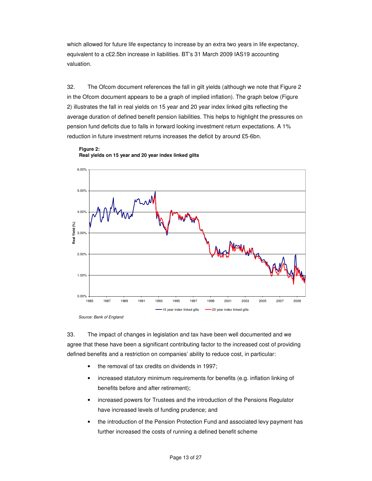which allowed for future life expectancy to increase by an extra two years in life expectancy, equivalent to a c£2.5bn increase in liabilities. BT's 31 March 2009 IAS19 accounting valuation.

32. The Ofcom document references the fall in gilt yields (although we note that Figure 2 in the Ofcom document appears to be a graph of implied inflation). The graph below (Figure 2) illustrates the fall in real yields on 15 year and 20 year index linked gilts reflecting the average duration of defined benefit pension liabilities. This helps to highlight the pressures on pension fund deficits due to falls in forward looking investment return expectations. A 1% reduction in future investment returns increases the deficit by around £5-6bn.



**Figure 2: Real yields on 15 year and 20 year index linked gilts**

33. The impact of changes in legislation and tax have been well documented and we agree that these have been a significant contributing factor to the increased cost of providing defined benefits and a restriction on companies' ability to reduce cost, in particular:

- the removal of tax credits on dividends in 1997;
- increased statutory minimum requirements for benefits (e.g. inflation linking of benefits before and after retirement);
- increased powers for Trustees and the introduction of the Pensions Regulator have increased levels of funding prudence; and
- the introduction of the Pension Protection Fund and associated levy payment has further increased the costs of running a defined benefit scheme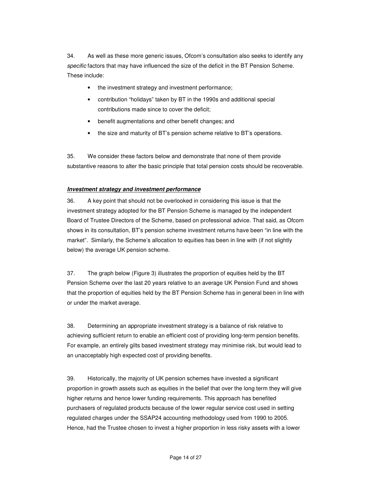34. As well as these more generic issues, Ofcom's consultation also seeks to identify any *specific* factors that may have influenced the size of the deficit in the BT Pension Scheme. These include:

- the investment strategy and investment performance;
- contribution "holidays" taken by BT in the 1990s and additional special contributions made since to cover the deficit;
- benefit augmentations and other benefit changes; and
- the size and maturity of BT's pension scheme relative to BT's operations.

35. We consider these factors below and demonstrate that none of them provide substantive reasons to alter the basic principle that total pension costs should be recoverable.

#### *Investment strategy and investment performance*

36. A key point that should not be overlooked in considering this issue is that the investment strategy adopted for the BT Pension Scheme is managed by the independent Board of Trustee Directors of the Scheme, based on professional advice. That said, as Ofcom shows in its consultation, BT's pension scheme investment returns have been "in line with the market". Similarly, the Scheme's allocation to equities has been in line with (if not slightly below) the average UK pension scheme.

37. The graph below (Figure 3) illustrates the proportion of equities held by the BT Pension Scheme over the last 20 years relative to an average UK Pension Fund and shows that the proportion of equities held by the BT Pension Scheme has in general been in line with or under the market average.

38. Determining an appropriate investment strategy is a balance of risk relative to achieving sufficient return to enable an efficient cost of providing long-term pension benefits. For example, an entirely gilts based investment strategy may minimise risk, but would lead to an unacceptably high expected cost of providing benefits.

39. Historically, the majority of UK pension schemes have invested a significant proportion in growth assets such as equities in the belief that over the long term they will give higher returns and hence lower funding requirements. This approach has benefited purchasers of regulated products because of the lower regular service cost used in setting regulated charges under the SSAP24 accounting methodology used from 1990 to 2005. Hence, had the Trustee chosen to invest a higher proportion in less risky assets with a lower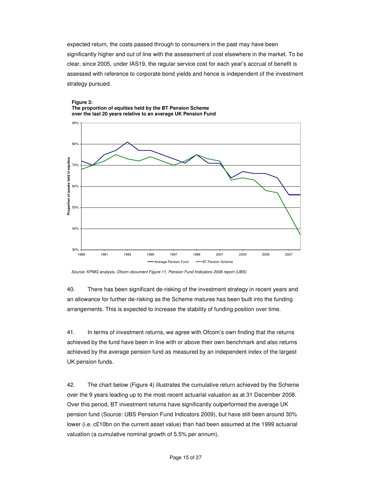expected return, the costs passed through to consumers in the past may have been significantly higher and out of line with the assessment of cost elsewhere in the market. To be clear, since 2005, under IAS19, the regular service cost for each year's accrual of benefit is assessed with reference to corporate bond yields and hence is independent of the investment strategy pursued.



#### **Figure 3: The proportion of equities held by the BT Pension Scheme over the last 20 years relative to an average UK Pension Fund**

*Source: KPMG analysis, Ofcom document Figure 11, Pension Fund Indicators 2008 report (UBS)*

40. There has been significant de-risking of the investment strategy in recent years and an allowance for further de-risking as the Scheme matures has been built into the funding arrangements. This is expected to increase the stability of funding position over time.

41. In terms of investment returns, we agree with Ofcom's own finding that the returns achieved by the fund have been in line with or above their own benchmark and also returns achieved by the average pension fund as measured by an independent index of the largest UK pension funds.

42. The chart below (Figure 4) illustrates the cumulative return achieved by the Scheme over the 9 years leading up to the most recent actuarial valuation as at 31 December 2008. Over this period, BT investment returns have significantly outperformed the average UK pension fund (Source: UBS Pension Fund Indicators 2009), but have still been around 30% lower (i.e. c£10bn on the current asset value) than had been assumed at the 1999 actuarial valuation (a cumulative nominal growth of 5.5% per annum).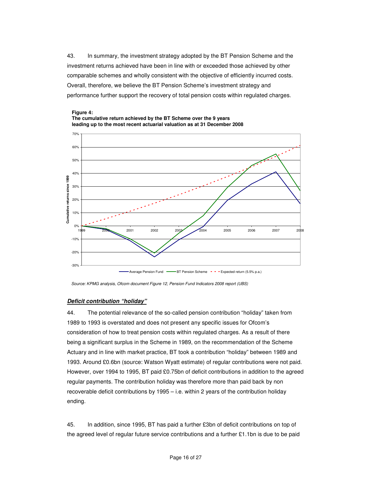43. In summary, the investment strategy adopted by the BT Pension Scheme and the investment returns achieved have been in line with or exceeded those achieved by other comparable schemes and wholly consistent with the objective of efficiently incurred costs. Overall, therefore, we believe the BT Pension Scheme's investment strategy and performance further support the recovery of total pension costs within regulated charges.





*Source: KPMG analysis, Ofcom document Figure 12, Pension Fund Indicators 2008 report (UBS)*

#### *Deficit contribution "holiday"*

44. The potential relevance of the so-called pension contribution "holiday" taken from 1989 to 1993 is overstated and does not present any specific issues for Ofcom's consideration of how to treat pension costs within regulated charges. As a result of there being a significant surplus in the Scheme in 1989, on the recommendation of the Scheme Actuary and in line with market practice, BT took a contribution "holiday" between 1989 and 1993. Around £0.6bn (source: Watson Wyatt estimate) of regular contributions were not paid. However, over 1994 to 1995, BT paid £0.75bn of deficit contributions in addition to the agreed regular payments. The contribution holiday was therefore more than paid back by non recoverable deficit contributions by 1995 – i.e. within 2 years of the contribution holiday ending.

45. In addition, since 1995, BT has paid a further £3bn of deficit contributions on top of the agreed level of regular future service contributions and a further £1.1bn is due to be paid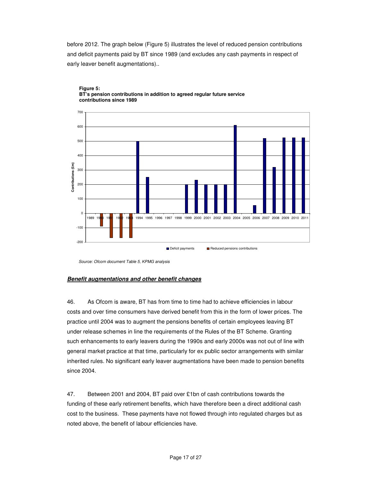before 2012. The graph below (Figure 5) illustrates the level of reduced pension contributions and deficit payments paid by BT since 1989 (and excludes any cash payments in respect of early leaver benefit augmentations)..





*Source: Ofcom document Table 5, KPMG analysis*

#### *Benefit augmentations and other benefit changes*

46. As Ofcom is aware, BT has from time to time had to achieve efficiencies in labour costs and over time consumers have derived benefit from this in the form of lower prices. The practice until 2004 was to augment the pensions benefits of certain employees leaving BT under release schemes in line the requirements of the Rules of the BT Scheme. Granting such enhancements to early leavers during the 1990s and early 2000s was not out of line with general market practice at that time, particularly for ex public sector arrangements with similar inherited rules. No significant early leaver augmentations have been made to pension benefits since 2004.

47. Between 2001 and 2004, BT paid over £1bn of cash contributions towards the funding of these early retirement benefits, which have therefore been a direct additional cash cost to the business. These payments have not flowed through into regulated charges but as noted above, the benefit of labour efficiencies have.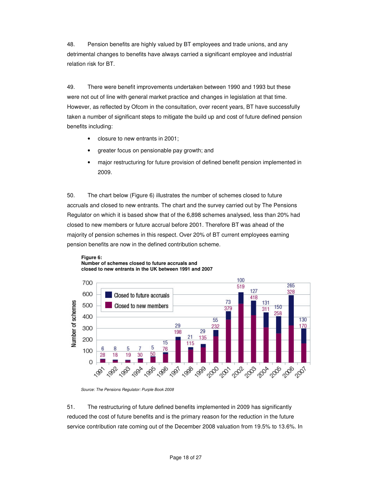48. Pension benefits are highly valued by BT employees and trade unions, and any detrimental changes to benefits have always carried a significant employee and industrial relation risk for BT.

49. There were benefit improvements undertaken between 1990 and 1993 but these were not out of line with general market practice and changes in legislation at that time. However, as reflected by Ofcom in the consultation, over recent years, BT have successfully taken a number of significant steps to mitigate the build up and cost of future defined pension benefits including:

- closure to new entrants in 2001;
- greater focus on pensionable pay growth; and
- major restructuring for future provision of defined benefit pension implemented in 2009.

50. The chart below (Figure 6) illustrates the number of schemes closed to future accruals and closed to new entrants. The chart and the survey carried out by The Pensions Regulator on which it is based show that of the 6,898 schemes analysed, less than 20% had closed to new members or future accrual before 2001. Therefore BT was ahead of the majority of pension schemes in this respect. Over 20% of BT current employees earning pension benefits are now in the defined contribution scheme.



#### **Figure 6: Number of schemes closed to future accruals and closed to new entrants in the UK between 1991 and 2007**

51. The restructuring of future defined benefits implemented in 2009 has significantly reduced the cost of future benefits and is the primary reason for the reduction in the future service contribution rate coming out of the December 2008 valuation from 19.5% to 13.6%. In

*Source: The Pensions Regulator: Purple Book 2008*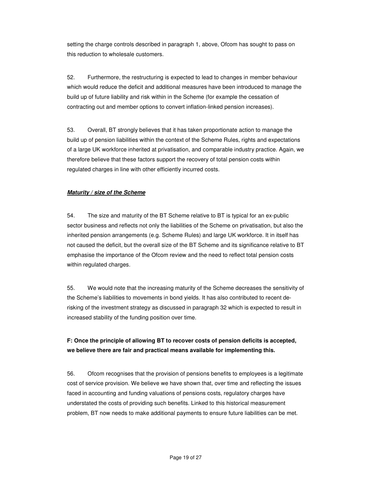setting the charge controls described in paragraph 1, above, Ofcom has sought to pass on this reduction to wholesale customers.

52. Furthermore, the restructuring is expected to lead to changes in member behaviour which would reduce the deficit and additional measures have been introduced to manage the build up of future liability and risk within in the Scheme (for example the cessation of contracting out and member options to convert inflation-linked pension increases).

53. Overall, BT strongly believes that it has taken proportionate action to manage the build up of pension liabilities within the context of the Scheme Rules, rights and expectations of a large UK workforce inherited at privatisation, and comparable industry practice. Again, we therefore believe that these factors support the recovery of total pension costs within regulated charges in line with other efficiently incurred costs.

### *Maturity / size of the Scheme*

54. The size and maturity of the BT Scheme relative to BT is typical for an ex-public sector business and reflects not only the liabilities of the Scheme on privatisation, but also the inherited pension arrangements (e.g. Scheme Rules) and large UK workforce. It in itself has not caused the deficit, but the overall size of the BT Scheme and its significance relative to BT emphasise the importance of the Ofcom review and the need to reflect total pension costs within regulated charges.

55. We would note that the increasing maturity of the Scheme decreases the sensitivity of the Scheme's liabilities to movements in bond yields. It has also contributed to recent derisking of the investment strategy as discussed in paragraph 32 which is expected to result in increased stability of the funding position over time.

## **F: Once the principle of allowing BT to recover costs of pension deficits is accepted, we believe there are fair and practical means available for implementing this.**

56. Ofcom recognises that the provision of pensions benefits to employees is a legitimate cost of service provision. We believe we have shown that, over time and reflecting the issues faced in accounting and funding valuations of pensions costs, regulatory charges have understated the costs of providing such benefits. Linked to this historical measurement problem, BT now needs to make additional payments to ensure future liabilities can be met.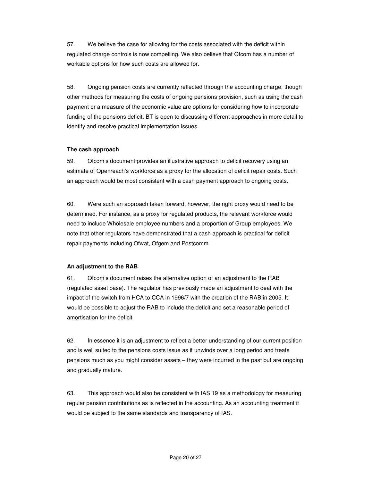57. We believe the case for allowing for the costs associated with the deficit within regulated charge controls is now compelling. We also believe that Ofcom has a number of workable options for how such costs are allowed for.

58. Ongoing pension costs are currently reflected through the accounting charge, though other methods for measuring the costs of ongoing pensions provision, such as using the cash payment or a measure of the economic value are options for considering how to incorporate funding of the pensions deficit. BT is open to discussing different approaches in more detail to identify and resolve practical implementation issues.

#### **The cash approach**

59. Ofcom's document provides an illustrative approach to deficit recovery using an estimate of Openreach's workforce as a proxy for the allocation of deficit repair costs. Such an approach would be most consistent with a cash payment approach to ongoing costs.

60. Were such an approach taken forward, however, the right proxy would need to be determined. For instance, as a proxy for regulated products, the relevant workforce would need to include Wholesale employee numbers and a proportion of Group employees. We note that other regulators have demonstrated that a cash approach is practical for deficit repair payments including Ofwat, Ofgem and Postcomm.

#### **An adjustment to the RAB**

61. Ofcom's document raises the alternative option of an adjustment to the RAB (regulated asset base). The regulator has previously made an adjustment to deal with the impact of the switch from HCA to CCA in 1996/7 with the creation of the RAB in 2005. It would be possible to adjust the RAB to include the deficit and set a reasonable period of amortisation for the deficit.

62. In essence it is an adjustment to reflect a better understanding of our current position and is well suited to the pensions costs issue as it unwinds over a long period and treats pensions much as you might consider assets – they were incurred in the past but are ongoing and gradually mature.

63. This approach would also be consistent with IAS 19 as a methodology for measuring regular pension contributions as is reflected in the accounting. As an accounting treatment it would be subject to the same standards and transparency of IAS.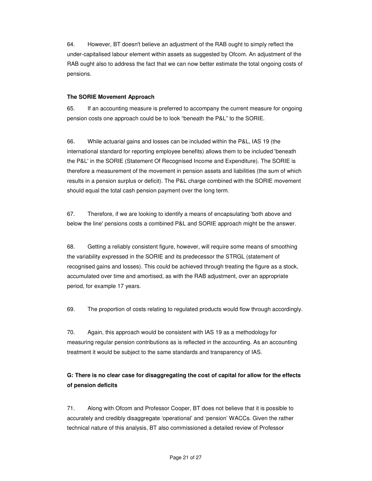64. However, BT doesn't believe an adjustment of the RAB ought to simply reflect the under-capitalised labour element within assets as suggested by Ofcom. An adjustment of the RAB ought also to address the fact that we can now better estimate the total ongoing costs of pensions.

#### **The SORIE Movement Approach**

65. If an accounting measure is preferred to accompany the current measure for ongoing pension costs one approach could be to look "beneath the P&L" to the SORIE.

66. While actuarial gains and losses can be included within the P&L, IAS 19 (the international standard for reporting employee benefits) allows them to be included 'beneath the P&L'in the SORIE (Statement Of Recognised Income and Expenditure). The SORIE is therefore a measurement of the movement in pension assets and liabilities (the sum of which results in a pension surplus or deficit). The P&L charge combined with the SORIE movement should equal the total cash pension payment over the long term.

67. Therefore, if we are looking to identify a means of encapsulating 'both above and below the line'pensions costs a combined P&L and SORIE approach might be the answer.

68. Getting a reliably consistent figure, however, will require some means of smoothing the variability expressed in the SORIE and its predecessor the STRGL (statement of recognised gains and losses). This could be achieved through treating the figure as a stock, accumulated over time and amortised, as with the RAB adjustment, over an appropriate period, for example 17 years.

69. The proportion of costs relating to regulated products would flow through accordingly.

70. Again, this approach would be consistent with IAS 19 as a methodology for measuring regular pension contributions as is reflected in the accounting. As an accounting treatment it would be subject to the same standards and transparency of IAS.

## **G: There is no clear case for disaggregating the cost of capital for allow for the effects of pension deficits**

71. Along with Ofcom and Professor Cooper, BT does not believe that it is possible to accurately and credibly disaggregate 'operational' and 'pension' WACCs. Given the rather technical nature of this analysis, BT also commissioned a detailed review of Professor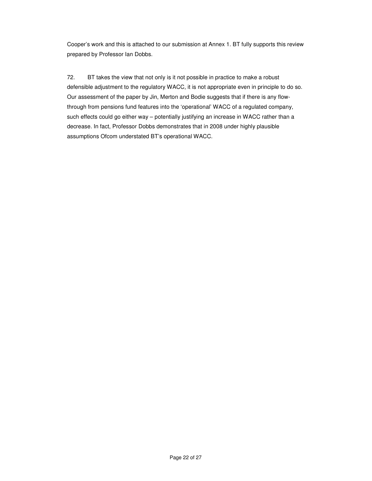Cooper's work and this is attached to our submission at Annex 1. BT fully supports this review prepared by Professor Ian Dobbs.

72. BT takes the view that not only is it not possible in practice to make a robust defensible adjustment to the regulatory WACC, it is not appropriate even in principle to do so. Our assessment of the paper by Jin, Merton and Bodie suggests that if there is any flowthrough from pensions fund features into the 'operational' WACC of a regulated company, such effects could go either way – potentially justifying an increase in WACC rather than a decrease. In fact, Professor Dobbs demonstrates that in 2008 under highly plausible assumptions Ofcom understated BT's operational WACC.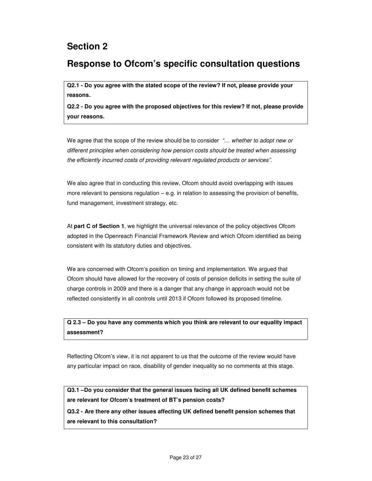## **Section 2**

## **Response to Ofcom's specific consultation questions**

**Q2.1 - Do you agree with the stated scope of the review? If not, please provide your reasons.**

**Q2.2 - Do you agree with the proposed objectives for this review? If not, please provide your reasons.**

We agree that the scope of the review should be to consider *"… whether to adopt new or different principles when considering how pension costs should be treated when assessing the efficiently incurred costs of providing relevant regulated products or services".*

We also agree that in conducting this review, Ofcom should avoid overlapping with issues more relevant to pensions regulation – e.g. in relation to assessing the provision of benefits, fund management, investment strategy, etc.

At **part C of Section 1**, we highlight the universal relevance of the policy objectives Ofcom adopted in the Openreach Financial Framework Review and which Ofcom identified as being consistent with its statutory duties and objectives.

We are concerned with Ofcom's position on timing and implementation. We argued that Ofcom should have allowed for the recovery of costs of pension deficits in setting the suite of charge controls in 2009 and there is a danger that any change in approach would not be reflected consistently in all controls until 2013 if Ofcom followed its proposed timeline.

## **Q 2.3 – Do you have any comments which you think are relevant to our equality impact assessment?**

Reflecting Ofcom's view, it is not apparent to us that the outcome of the review would have any particular impact on race, disability of gender inequality so no comments at this stage.

**Q3.1 –Do you consider that the general issues facing all UK defined benefit schemes are relevant for Ofcom's treatment of BT's pension costs?**

**Q3.2 - Are there any other issues affecting UK defined benefit pension schemes that are relevant to this consultation?**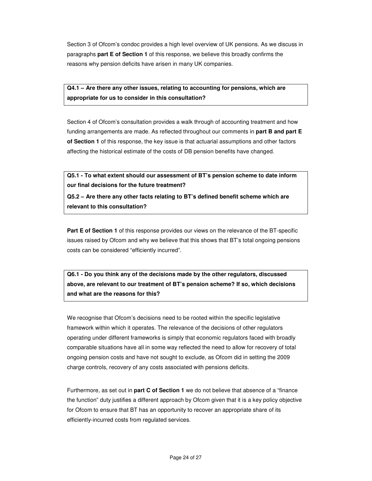Section 3 of Ofcom's condoc provides a high level overview of UK pensions. As we discuss in paragraphs **part E of Section 1** of this response, we believe this broadly confirms the reasons why pension deficits have arisen in many UK companies.

**Q4.1 – Are there any other issues, relating to accounting for pensions, which are appropriate for us to consider in this consultation?**

Section 4 of Ofcom's consultation provides a walk through of accounting treatment and how funding arrangements are made. As reflected throughout our comments in **part B and part E of Section 1** of this response, the key issue is that actuarial assumptions and other factors affecting the historical estimate of the costs of DB pension benefits have changed.

**Q5.1 - To what extent should our assessment of BT's pension scheme to date inform our final decisions for the future treatment?**

**Q5.2 – Are there any other facts relating to BT's defined benefit scheme which are relevant to this consultation?**

**Part E of Section 1** of this response provides our views on the relevance of the BT-specific issues raised by Ofcom and why we believe that this shows that BT's total ongoing pensions costs can be considered "efficiently incurred".

**Q6.1 - Do you think any of the decisions made by the other regulators, discussed above, are relevant to our treatment of BT's pension scheme? If so, which decisions and what are the reasons for this?**

We recognise that Ofcom's decisions need to be rooted within the specific legislative framework within which it operates. The relevance of the decisions of other regulators operating under different frameworks is simply that economic regulators faced with broadly comparable situations have all in some way reflected the need to allow for recovery of total ongoing pension costs and have not sought to exclude, as Ofcom did in setting the 2009 charge controls, recovery of any costs associated with pensions deficits.

Furthermore, as set out in **part C of Section 1** we do not believe that absence of a "finance the function" duty justifies a different approach by Ofcom given that it is a key policy objective for Ofcom to ensure that BT has an opportunity to recover an appropriate share of its efficiently-incurred costs from regulated services.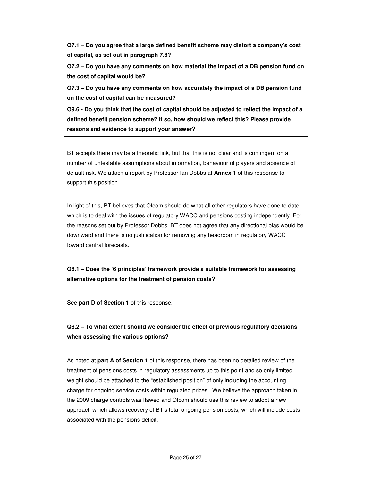**Q7.1 – Do you agree that a large defined benefit scheme may distort a company's cost of capital, as set out in paragraph 7.8?**

**Q7.2 – Do you have any comments on how material the impact of a DB pension fund on the cost of capital would be?**

**Q7.3 – Do you have any comments on how accurately the impact of a DB pension fund on the cost of capital can be measured?**

**Q9.6 - Do you think that the cost of capital should be adjusted to reflect the impact of a defined benefit pension scheme? If so, how should we reflect this? Please provide reasons and evidence to support your answer?**

BT accepts there may be a theoretic link, but that this is not clear and is contingent on a number of untestable assumptions about information, behaviour of players and absence of default risk. We attach a report by Professor Ian Dobbs at **Annex 1** of this response to support this position.

In light of this, BT believes that Ofcom should do what all other regulators have done to date which is to deal with the issues of regulatory WACC and pensions costing independently. For the reasons set out by Professor Dobbs, BT does not agree that any directional bias would be downward and there is no justification for removing any headroom in regulatory WACC toward central forecasts.

**Q8.1 – Does the '6 principles' framework provide a suitable framework for assessing alternative options for the treatment of pension costs?**

See **part D of Section 1** of this response.

## **Q8.2 – To what extent should we consider the effect of previous regulatory decisions when assessing the various options?**

As noted at **part A of Section 1** of this response, there has been no detailed review of the treatment of pensions costs in regulatory assessments up to this point and so only limited weight should be attached to the "established position" of only including the accounting charge for ongoing service costs within regulated prices. We believe the approach taken in the 2009 charge controls was flawed and Ofcom should use this review to adopt a new approach which allows recovery of BT's total ongoing pension costs, which will include costs associated with the pensions deficit.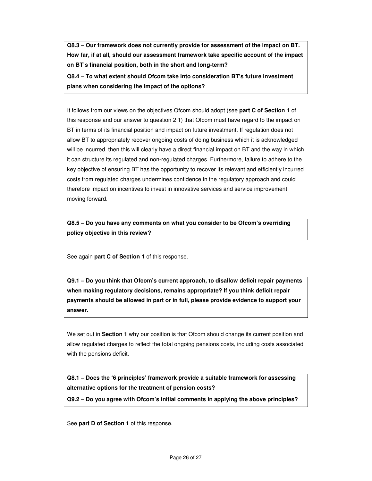**Q8.3 – Our framework does not currently provide for assessment of the impact on BT. How far, if at all, should our assessment framework take specific account of the impact on BT's financial position, both in the short and long-term?**

**Q8.4 – To what extent should Ofcom take into consideration BT's future investment plans when considering the impact of the options?**

It follows from our views on the objectives Ofcom should adopt (see **part C of Section 1** of this response and our answer to question 2.1) that Ofcom must have regard to the impact on BT in terms of its financial position and impact on future investment. If regulation does not allow BT to appropriately recover ongoing costs of doing business which it is acknowledged will be incurred, then this will clearly have a direct financial impact on BT and the way in which it can structure its regulated and non-regulated charges. Furthermore, failure to adhere to the key objective of ensuring BT has the opportunity to recover its relevant and efficiently incurred costs from regulated charges undermines confidence in the regulatory approach and could therefore impact on incentives to invest in innovative services and service improvement moving forward.

**Q8.5 – Do you have any comments on what you consider to be Ofcom's overriding policy objective in this review?**

See again **part C of Section 1** of this response.

**Q9.1 – Do you think that Ofcom's current approach, to disallow deficit repair payments when making regulatory decisions, remains appropriate? If you think deficit repair payments should be allowed in part or in full, please provide evidence to support your answer.**

We set out in **Section 1** why our position is that Ofcom should change its current position and allow regulated charges to reflect the total ongoing pensions costs, including costs associated with the pensions deficit.

**Q8.1 – Does the '6 principles' framework provide a suitable framework for assessing alternative options for the treatment of pension costs?**

**Q9.2 – Do you agree with Ofcom's initial comments in applying the above principles?**

See **part D of Section 1** of this response.